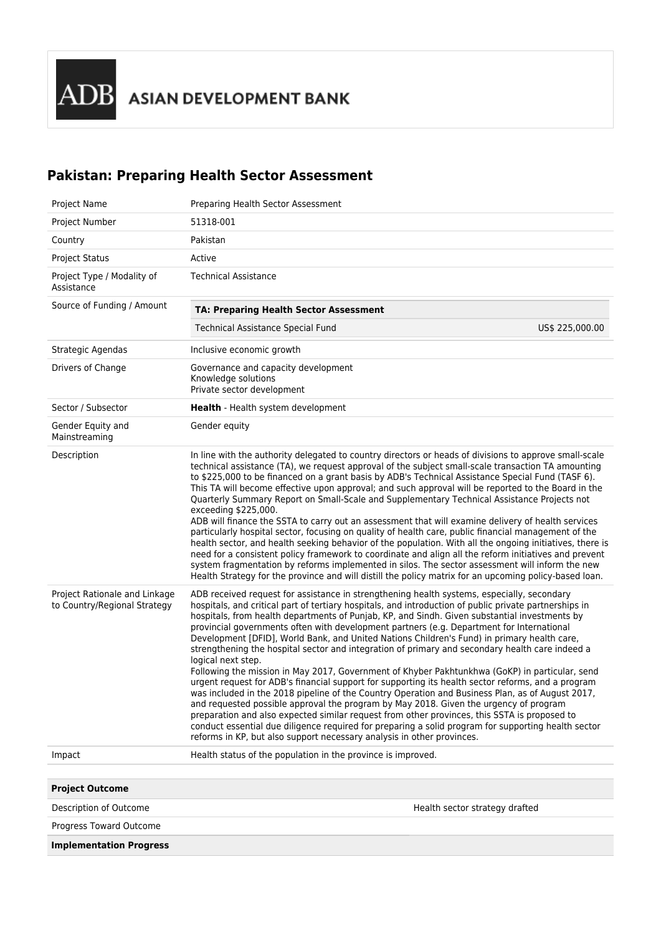## **Pakistan: Preparing Health Sector Assessment**

| Project Name                                                  | Preparing Health Sector Assessment                                                                                                                                                                                                                                                                                                                                                                                                                                                                                                                                                                                                                                                                                                                                                                                                                                                                                                                                                                                                                                                                                                                                                                                                                                                                               |
|---------------------------------------------------------------|------------------------------------------------------------------------------------------------------------------------------------------------------------------------------------------------------------------------------------------------------------------------------------------------------------------------------------------------------------------------------------------------------------------------------------------------------------------------------------------------------------------------------------------------------------------------------------------------------------------------------------------------------------------------------------------------------------------------------------------------------------------------------------------------------------------------------------------------------------------------------------------------------------------------------------------------------------------------------------------------------------------------------------------------------------------------------------------------------------------------------------------------------------------------------------------------------------------------------------------------------------------------------------------------------------------|
| Project Number                                                | 51318-001                                                                                                                                                                                                                                                                                                                                                                                                                                                                                                                                                                                                                                                                                                                                                                                                                                                                                                                                                                                                                                                                                                                                                                                                                                                                                                        |
| Country                                                       | Pakistan                                                                                                                                                                                                                                                                                                                                                                                                                                                                                                                                                                                                                                                                                                                                                                                                                                                                                                                                                                                                                                                                                                                                                                                                                                                                                                         |
| <b>Project Status</b>                                         | Active                                                                                                                                                                                                                                                                                                                                                                                                                                                                                                                                                                                                                                                                                                                                                                                                                                                                                                                                                                                                                                                                                                                                                                                                                                                                                                           |
| Project Type / Modality of<br>Assistance                      | <b>Technical Assistance</b>                                                                                                                                                                                                                                                                                                                                                                                                                                                                                                                                                                                                                                                                                                                                                                                                                                                                                                                                                                                                                                                                                                                                                                                                                                                                                      |
| Source of Funding / Amount                                    | TA: Preparing Health Sector Assessment                                                                                                                                                                                                                                                                                                                                                                                                                                                                                                                                                                                                                                                                                                                                                                                                                                                                                                                                                                                                                                                                                                                                                                                                                                                                           |
|                                                               | Technical Assistance Special Fund<br>US\$ 225,000.00                                                                                                                                                                                                                                                                                                                                                                                                                                                                                                                                                                                                                                                                                                                                                                                                                                                                                                                                                                                                                                                                                                                                                                                                                                                             |
| Strategic Agendas                                             | Inclusive economic growth                                                                                                                                                                                                                                                                                                                                                                                                                                                                                                                                                                                                                                                                                                                                                                                                                                                                                                                                                                                                                                                                                                                                                                                                                                                                                        |
| Drivers of Change                                             | Governance and capacity development<br>Knowledge solutions<br>Private sector development                                                                                                                                                                                                                                                                                                                                                                                                                                                                                                                                                                                                                                                                                                                                                                                                                                                                                                                                                                                                                                                                                                                                                                                                                         |
| Sector / Subsector                                            | Health - Health system development                                                                                                                                                                                                                                                                                                                                                                                                                                                                                                                                                                                                                                                                                                                                                                                                                                                                                                                                                                                                                                                                                                                                                                                                                                                                               |
| Gender Equity and<br>Mainstreaming                            | Gender equity                                                                                                                                                                                                                                                                                                                                                                                                                                                                                                                                                                                                                                                                                                                                                                                                                                                                                                                                                                                                                                                                                                                                                                                                                                                                                                    |
| Description                                                   | In line with the authority delegated to country directors or heads of divisions to approve small-scale<br>technical assistance (TA), we request approval of the subject small-scale transaction TA amounting<br>to \$225,000 to be financed on a grant basis by ADB's Technical Assistance Special Fund (TASF 6).<br>This TA will become effective upon approval; and such approval will be reported to the Board in the<br>Quarterly Summary Report on Small-Scale and Supplementary Technical Assistance Projects not<br>exceeding \$225,000.<br>ADB will finance the SSTA to carry out an assessment that will examine delivery of health services<br>particularly hospital sector, focusing on quality of health care, public financial management of the<br>health sector, and health seeking behavior of the population. With all the ongoing initiatives, there is<br>need for a consistent policy framework to coordinate and align all the reform initiatives and prevent<br>system fragmentation by reforms implemented in silos. The sector assessment will inform the new<br>Health Strategy for the province and will distill the policy matrix for an upcoming policy-based loan.                                                                                                                  |
| Project Rationale and Linkage<br>to Country/Regional Strategy | ADB received request for assistance in strengthening health systems, especially, secondary<br>hospitals, and critical part of tertiary hospitals, and introduction of public private partnerships in<br>hospitals, from health departments of Punjab, KP, and Sindh. Given substantial investments by<br>provincial governments often with development partners (e.g. Department for International<br>Development [DFID], World Bank, and United Nations Children's Fund) in primary health care,<br>strengthening the hospital sector and integration of primary and secondary health care indeed a<br>logical next step.<br>Following the mission in May 2017, Government of Khyber Pakhtunkhwa (GoKP) in particular, send<br>urgent request for ADB's financial support for supporting its health sector reforms, and a program<br>was included in the 2018 pipeline of the Country Operation and Business Plan, as of August 2017,<br>and requested possible approval the program by May 2018. Given the urgency of program<br>preparation and also expected similar request from other provinces, this SSTA is proposed to<br>conduct essential due diligence required for preparing a solid program for supporting health sector<br>reforms in KP, but also support necessary analysis in other provinces. |
| Impact                                                        | Health status of the population in the province is improved.                                                                                                                                                                                                                                                                                                                                                                                                                                                                                                                                                                                                                                                                                                                                                                                                                                                                                                                                                                                                                                                                                                                                                                                                                                                     |
|                                                               |                                                                                                                                                                                                                                                                                                                                                                                                                                                                                                                                                                                                                                                                                                                                                                                                                                                                                                                                                                                                                                                                                                                                                                                                                                                                                                                  |
| <b>Project Outcome</b>                                        |                                                                                                                                                                                                                                                                                                                                                                                                                                                                                                                                                                                                                                                                                                                                                                                                                                                                                                                                                                                                                                                                                                                                                                                                                                                                                                                  |
| Description of Outcome                                        | Health sector strategy drafted                                                                                                                                                                                                                                                                                                                                                                                                                                                                                                                                                                                                                                                                                                                                                                                                                                                                                                                                                                                                                                                                                                                                                                                                                                                                                   |
| Progress Toward Outcome                                       |                                                                                                                                                                                                                                                                                                                                                                                                                                                                                                                                                                                                                                                                                                                                                                                                                                                                                                                                                                                                                                                                                                                                                                                                                                                                                                                  |
| <b>Implementation Progress</b>                                |                                                                                                                                                                                                                                                                                                                                                                                                                                                                                                                                                                                                                                                                                                                                                                                                                                                                                                                                                                                                                                                                                                                                                                                                                                                                                                                  |